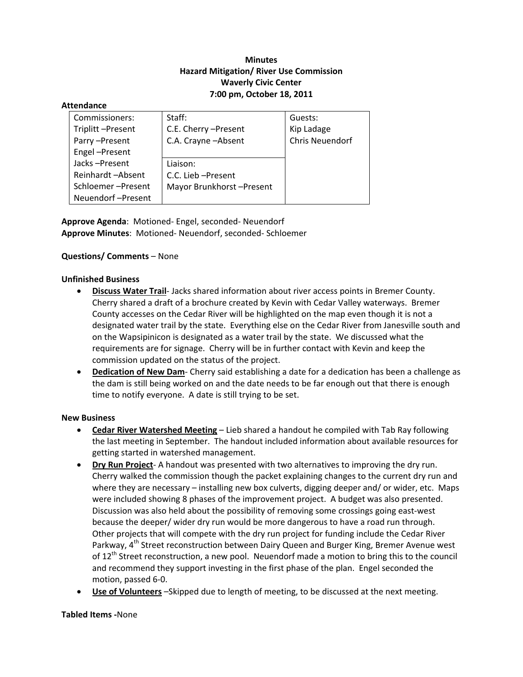# **Minutes Hazard Mitigation/ River Use Commission Waverly Civic Center 7:00 pm, October 18, 2011**

#### **Attendance**

| Commissioners:    | Staff:                   | Guests:         |
|-------------------|--------------------------|-----------------|
| Triplitt-Present  | C.E. Cherry - Present    | Kip Ladage      |
| Parry-Present     | C.A. Crayne - Absent     | Chris Neuendorf |
| Engel-Present     |                          |                 |
| Jacks-Present     | Liaison:                 |                 |
| Reinhardt-Absent  | C.C. Lieb - Present      |                 |
| Schloemer-Present | Mayor Brunkhorst-Present |                 |
| Neuendorf-Present |                          |                 |

**Approve Agenda**: Motioned‐ Engel, seconded‐ Neuendorf **Approve Minutes**: Motioned‐ Neuendorf, seconded‐ Schloemer

## **Questions/ Comments** – None

### **Unfinished Business**

- **Discuss Water Trail**‐ Jacks shared information about river access points in Bremer County. Cherry shared a draft of a brochure created by Kevin with Cedar Valley waterways. Bremer County accesses on the Cedar River will be highlighted on the map even though it is not a designated water trail by the state. Everything else on the Cedar River from Janesville south and on the Wapsipinicon is designated as a water trail by the state. We discussed what the requirements are for signage. Cherry will be in further contact with Kevin and keep the commission updated on the status of the project.
- **Dedication of New Dam**‐ Cherry said establishing a date for a dedication has been a challenge as the dam is still being worked on and the date needs to be far enough out that there is enough time to notify everyone. A date is still trying to be set.

### **New Business**

- **Cedar River Watershed Meeting** Lieb shared a handout he compiled with Tab Ray following the last meeting in September. The handout included information about available resources for getting started in watershed management.
- **Dry Run Project**‐ A handout was presented with two alternatives to improving the dry run. Cherry walked the commission though the packet explaining changes to the current dry run and where they are necessary – installing new box culverts, digging deeper and/ or wider, etc. Maps were included showing 8 phases of the improvement project. A budget was also presented. Discussion was also held about the possibility of removing some crossings going east‐west because the deeper/ wider dry run would be more dangerous to have a road run through. Other projects that will compete with the dry run project for funding include the Cedar River Parkway, 4<sup>th</sup> Street reconstruction between Dairy Queen and Burger King, Bremer Avenue west of 12<sup>th</sup> Street reconstruction, a new pool. Neuendorf made a motion to bring this to the council and recommend they support investing in the first phase of the plan. Engel seconded the motion, passed 6‐0.
- **Use of Volunteers** –Skipped due to length of meeting, to be discussed at the next meeting.